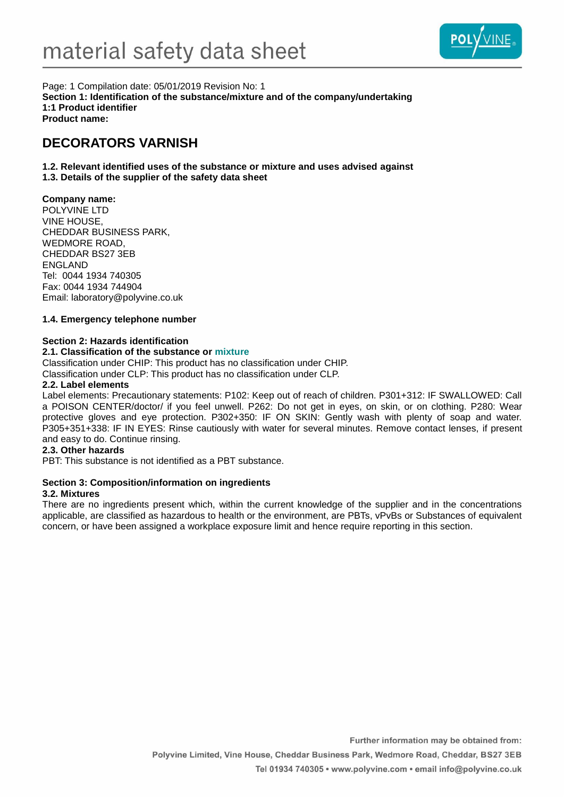

Page: 1 Compilation date: 05/01/2019 Revision No: 1 **Section 1: Identification of the substance/mixture and of the company/undertaking 1:1 Product identifier Product name:**

# **DECORATORS VARNISH**

**1.2. Relevant identified uses of the substance or mixture and uses advised against**

# **1.3. Details of the supplier of the safety data sheet**

## **Company name:**

POLYVINE LTD VINE HOUSE, CHEDDAR BUSINESS PARK, WEDMORE ROAD, CHEDDAR BS27 3EB ENGLAND Tel: 0044 1934 740305 Fax: 0044 1934 744904 Email: laboratory@polyvine.co.uk

## **1.4. Emergency telephone number**

## **Section 2: Hazards identification**

## **2.1. Classification of the substance or mixture**

Classification under CHIP: This product has no classification under CHIP.

Classification under CLP: This product has no classification under CLP.

### **2.2. Label elements**

Label elements: Precautionary statements: P102: Keep out of reach of children. P301+312: IF SWALLOWED: Call a POISON CENTER/doctor/ if you feel unwell. P262: Do not get in eyes, on skin, or on clothing. P280: Wear protective gloves and eye protection. P302+350: IF ON SKIN: Gently wash with plenty of soap and water. P305+351+338: IF IN EYES: Rinse cautiously with water for several minutes. Remove contact lenses, if present and easy to do. Continue rinsing.

### **2.3. Other hazards**

PBT: This substance is not identified as a PBT substance.

## **Section 3: Composition/information on ingredients**

## **3.2. Mixtures**

There are no ingredients present which, within the current knowledge of the supplier and in the concentrations applicable, are classified as hazardous to health or the environment, are PBTs, vPvBs or Substances of equivalent concern, or have been assigned a workplace exposure limit and hence require reporting in this section.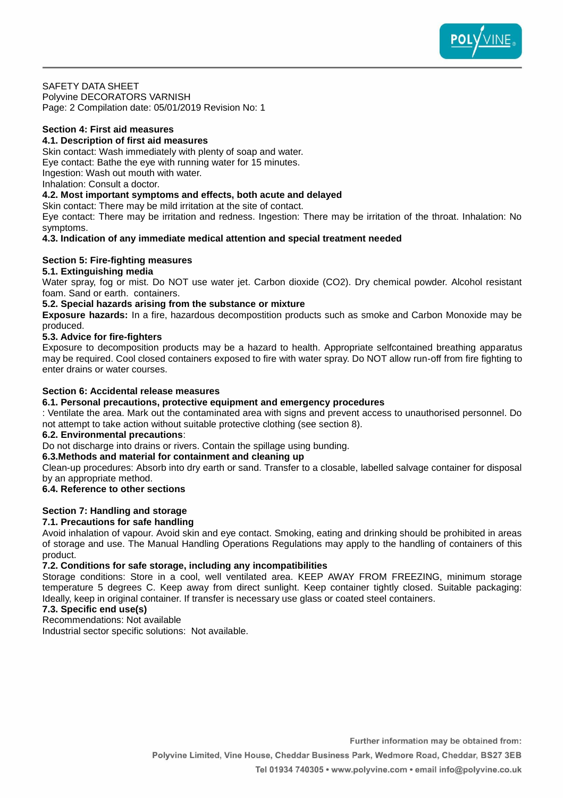

#### SAFETY DATA SHEET

Polyvine DECORATORS VARNISH Page: 2 Compilation date: 05/01/2019 Revision No: 1

#### **Section 4: First aid measures**

#### **4.1. Description of first aid measures**

Skin contact: Wash immediately with plenty of soap and water. Eye contact: Bathe the eye with running water for 15 minutes. Ingestion: Wash out mouth with water.

Inhalation: Consult a doctor.

#### **4.2. Most important symptoms and effects, both acute and delayed**

Skin contact: There may be mild irritation at the site of contact.

Eye contact: There may be irritation and redness. Ingestion: There may be irritation of the throat. Inhalation: No symptoms.

#### **4.3. Indication of any immediate medical attention and special treatment needed**

#### **Section 5: Fire-fighting measures**

#### **5.1. Extinguishing media**

Water spray, fog or mist. Do NOT use water jet. Carbon dioxide (CO2). Dry chemical powder. Alcohol resistant foam. Sand or earth. containers.

#### **5.2. Special hazards arising from the substance or mixture**

**Exposure hazards:** In a fire, hazardous decompostition products such as smoke and Carbon Monoxide may be produced.

#### **5.3. Advice for fire-fighters**

Exposure to decomposition products may be a hazard to health. Appropriate selfcontained breathing apparatus may be required. Cool closed containers exposed to fire with water spray. Do NOT allow run-off from fire fighting to enter drains or water courses.

#### **Section 6: Accidental release measures**

#### **6.1. Personal precautions, protective equipment and emergency procedures**

: Ventilate the area. Mark out the contaminated area with signs and prevent access to unauthorised personnel. Do not attempt to take action without suitable protective clothing (see section 8).

#### **6.2. Environmental precautions**:

Do not discharge into drains or rivers. Contain the spillage using bunding.

## **6.3.Methods and material for containment and cleaning up**

Clean-up procedures: Absorb into dry earth or sand. Transfer to a closable, labelled salvage container for disposal by an appropriate method.

### **6.4. Reference to other sections**

### **Section 7: Handling and storage**

## **7.1. Precautions for safe handling**

Avoid inhalation of vapour. Avoid skin and eye contact. Smoking, eating and drinking should be prohibited in areas of storage and use. The Manual Handling Operations Regulations may apply to the handling of containers of this product.

### **7.2. Conditions for safe storage, including any incompatibilities**

Storage conditions: Store in a cool, well ventilated area. KEEP AWAY FROM FREEZING, minimum storage temperature 5 degrees C. Keep away from direct sunlight. Keep container tightly closed. Suitable packaging: Ideally, keep in original container. If transfer is necessary use glass or coated steel containers.

## **7.3. Specific end use(s)**

Recommendations: Not available

Industrial sector specific solutions: Not available.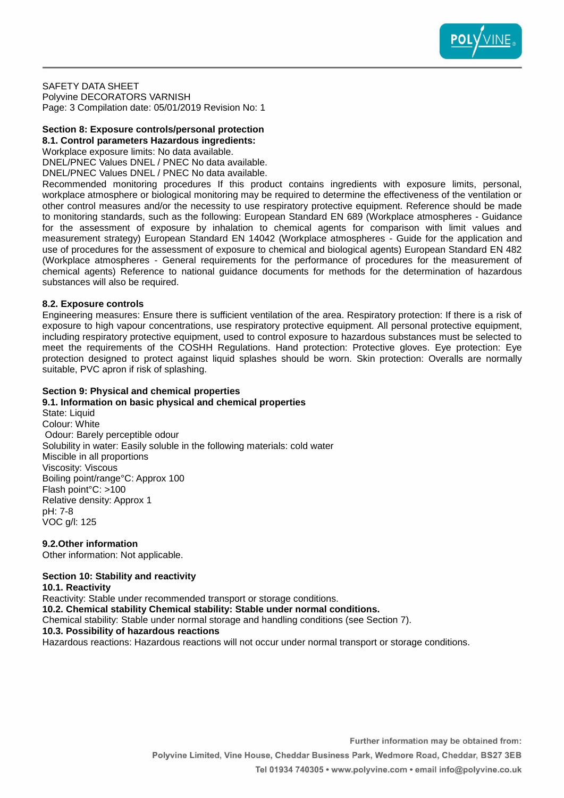

SAFETY DATA SHEET

Polyvine DECORATORS VARNISH Page: 3 Compilation date: 05/01/2019 Revision No: 1

# **Section 8: Exposure controls/personal protection**

**8.1. Control parameters Hazardous ingredients:** Workplace exposure limits: No data available.

DNEL/PNEC Values DNEL / PNEC No data available.

DNEL/PNEC Values DNEL / PNEC No data available.

Recommended monitoring procedures If this product contains ingredients with exposure limits, personal, workplace atmosphere or biological monitoring may be required to determine the effectiveness of the ventilation or other control measures and/or the necessity to use respiratory protective equipment. Reference should be made to monitoring standards, such as the following: European Standard EN 689 (Workplace atmospheres - Guidance for the assessment of exposure by inhalation to chemical agents for comparison with limit values and measurement strategy) European Standard EN 14042 (Workplace atmospheres - Guide for the application and use of procedures for the assessment of exposure to chemical and biological agents) European Standard EN 482 (Workplace atmospheres - General requirements for the performance of procedures for the measurement of chemical agents) Reference to national guidance documents for methods for the determination of hazardous substances will also be required.

### **8.2. Exposure controls**

Engineering measures: Ensure there is sufficient ventilation of the area. Respiratory protection: If there is a risk of exposure to high vapour concentrations, use respiratory protective equipment. All personal protective equipment, including respiratory protective equipment, used to control exposure to hazardous substances must be selected to meet the requirements of the COSHH Regulations. Hand protection: Protective gloves. Eye protection: Eye protection designed to protect against liquid splashes should be worn. Skin protection: Overalls are normally suitable, PVC apron if risk of splashing.

### **Section 9: Physical and chemical properties**

#### **9.1. Information on basic physical and chemical properties** State: Liquid Colour: White

Odour: Barely perceptible odour Solubility in water: Easily soluble in the following materials: cold water Miscible in all proportions Viscosity: Viscous Boiling point/range°C: Approx 100 Flash point°C: >100 Relative density: Approx 1 pH: 7-8 VOC g/l: 125

**9.2.Other information**

Other information: Not applicable.

## **Section 10: Stability and reactivity**

**10.1. Reactivity**

Reactivity: Stable under recommended transport or storage conditions.

**10.2. Chemical stability Chemical stability: Stable under normal conditions.**

Chemical stability: Stable under normal storage and handling conditions (see Section 7).

### **10.3. Possibility of hazardous reactions**

Hazardous reactions: Hazardous reactions will not occur under normal transport or storage conditions.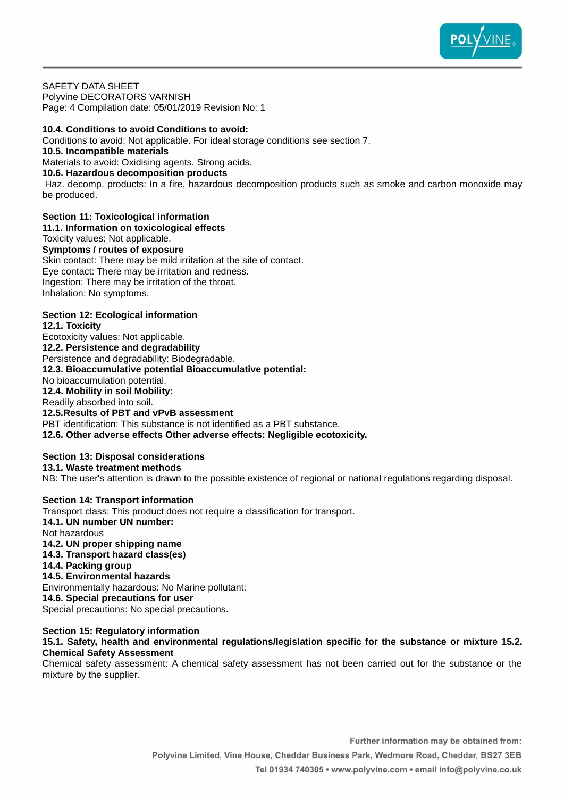

SAFETY DATA SHEET Polyvine DECORATORS VARNISH Page: 4 Compilation date: 05/01/2019 Revision No: 1

**10.4. Conditions to avoid Conditions to avoid:** Conditions to avoid: Not applicable. For ideal storage conditions see section 7. **10.5. Incompatible materials** Materials to avoid: Oxidising agents. Strong acids. **10.6. Hazardous decomposition products** Haz. decomp. products: In a fire, hazardous decomposition products such as smoke and carbon monoxide may be produced.

# **Section 11: Toxicological information**

**11.1. Information on toxicological effects** Toxicity values: Not applicable. **Symptoms / routes of exposure** Skin contact: There may be mild irritation at the site of contact. Eye contact: There may be irritation and redness. Ingestion: There may be irritation of the throat. Inhalation: No symptoms.

## **Section 12: Ecological information**

**12.1. Toxicity** Ecotoxicity values: Not applicable. **12.2. Persistence and degradability** Persistence and degradability: Biodegradable. **12.3. Bioaccumulative potential Bioaccumulative potential:** No bioaccumulation potential. **12.4. Mobility in soil Mobility:** Readily absorbed into soil. **12.5.Results of PBT and vPvB assessment** PBT identification: This substance is not identified as a PBT substance. **12.6. Other adverse effects Other adverse effects: Negligible ecotoxicity.**

### **Section 13: Disposal considerations**

**13.1. Waste treatment methods**

NB: The user's attention is drawn to the possible existence of regional or national regulations regarding disposal.

**Section 14: Transport information** Transport class: This product does not require a classification for transport. **14.1. UN number UN number:** Not hazardous **14.2. UN proper shipping name 14.3. Transport hazard class(es) 14.4. Packing group 14.5. Environmental hazards** Environmentally hazardous: No Marine pollutant: **14.6. Special precautions for user** Special precautions: No special precautions. **Section 15: Regulatory information**

## **15.1. Safety, health and environmental regulations/legislation specific for the substance or mixture 15.2. Chemical Safety Assessment**

Chemical safety assessment: A chemical safety assessment has not been carried out for the substance or the mixture by the supplier.